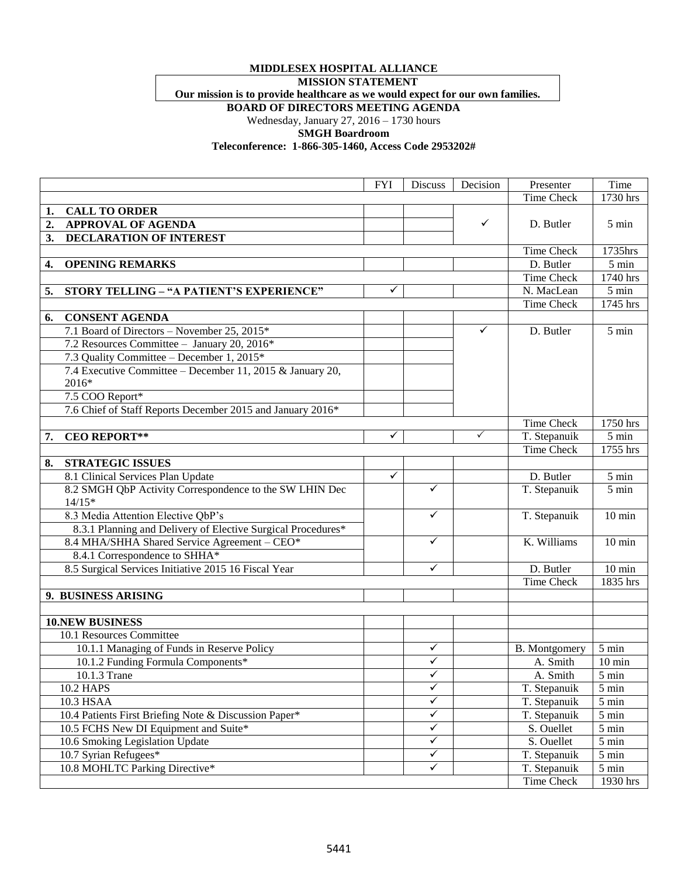## **MIDDLESEX HOSPITAL ALLIANCE**

**MISSION STATEMENT**

**Our mission is to provide healthcare as we would expect for our own families.**

**BOARD OF DIRECTORS MEETING AGENDA**

Wednesday, January 27, 2016 – 1730 hours

**SMGH Boardroom**

**Teleconference: 1-866-305-1460, Access Code 2953202#**

|    |                                                              | <b>FYI</b>   | <b>Discuss</b> | Decision     | Presenter         | Time             |
|----|--------------------------------------------------------------|--------------|----------------|--------------|-------------------|------------------|
|    |                                                              |              |                |              | <b>Time Check</b> | 1730 hrs         |
| 1. | <b>CALL TO ORDER</b>                                         |              |                |              |                   |                  |
| 2. | <b>APPROVAL OF AGENDA</b>                                    |              |                | $\checkmark$ | D. Butler         | $5 \text{ min}$  |
| 3. | DECLARATION OF INTEREST                                      |              |                |              |                   |                  |
|    |                                                              |              |                |              | Time Check        | 1735hrs          |
| 4. | <b>OPENING REMARKS</b>                                       |              |                |              | D. Butler         | 5 min            |
|    |                                                              |              |                |              | <b>Time Check</b> | 1740 hrs         |
| 5. | STORY TELLING - "A PATIENT'S EXPERIENCE"                     | ✓            |                |              | N. MacLean        | 5 min            |
|    |                                                              |              |                |              | Time Check        | 1745 hrs         |
| 6. | <b>CONSENT AGENDA</b>                                        |              |                |              |                   |                  |
|    | 7.1 Board of Directors - November 25, 2015*                  |              |                | $\checkmark$ | D. Butler         | 5 min            |
|    | 7.2 Resources Committee - January 20, 2016*                  |              |                |              |                   |                  |
|    | 7.3 Quality Committee - December 1, 2015*                    |              |                |              |                   |                  |
|    | 7.4 Executive Committee - December 11, 2015 & January 20,    |              |                |              |                   |                  |
|    | 2016*                                                        |              |                |              |                   |                  |
|    | 7.5 COO Report*                                              |              |                |              |                   |                  |
|    | 7.6 Chief of Staff Reports December 2015 and January 2016*   |              |                |              |                   |                  |
|    |                                                              |              |                |              | Time Check        | 1750 hrs         |
| 7. | <b>CEO REPORT**</b>                                          | ✓            |                | $\checkmark$ | T. Stepanuik      | $5 \text{ min}$  |
|    |                                                              |              |                |              | Time Check        | 1755 hrs         |
| 8. | <b>STRATEGIC ISSUES</b>                                      |              |                |              |                   |                  |
|    | 8.1 Clinical Services Plan Update                            | $\checkmark$ |                |              | D. Butler         | 5 min            |
|    | 8.2 SMGH QbP Activity Correspondence to the SW LHIN Dec      |              | $\checkmark$   |              | T. Stepanuik      | 5 min            |
|    | $14/15*$                                                     |              |                |              |                   |                  |
|    | 8.3 Media Attention Elective QbP's                           |              | ✓              |              | T. Stepanuik      | $10 \text{ min}$ |
|    | 8.3.1 Planning and Delivery of Elective Surgical Procedures* |              |                |              |                   |                  |
|    | 8.4 MHA/SHHA Shared Service Agreement - CEO*                 |              | ✓              |              | K. Williams       | $10 \text{ min}$ |
|    | 8.4.1 Correspondence to SHHA*                                |              |                |              |                   |                  |
|    | 8.5 Surgical Services Initiative 2015 16 Fiscal Year         |              | ✓              |              | D. Butler         | $10 \text{ min}$ |
|    |                                                              |              |                |              | Time Check        | 1835 hrs         |
|    | 9. BUSINESS ARISING                                          |              |                |              |                   |                  |
|    |                                                              |              |                |              |                   |                  |
|    | <b>10.NEW BUSINESS</b>                                       |              |                |              |                   |                  |
|    | 10.1 Resources Committee                                     |              |                |              |                   |                  |
|    | 10.1.1 Managing of Funds in Reserve Policy                   |              | ✓              |              | B. Montgomery     | 5 min            |
|    | 10.1.2 Funding Formula Components*                           |              | ✓              |              | A. Smith          | $10 \text{ min}$ |
|    | 10.1.3 Trane                                                 |              | v              |              | A. Smith          | $5 \text{ min}$  |
|    | <b>10.2 HAPS</b>                                             |              | ✓              |              | T. Stepanuik      | 5 min            |
|    | 10.3 HSAA                                                    |              | $\checkmark$   |              | T. Stepanuik      | 5 min            |
|    | 10.4 Patients First Briefing Note & Discussion Paper*        |              | $\checkmark$   |              | T. Stepanuik      | 5 min            |
|    | 10.5 FCHS New DI Equipment and Suite*                        |              | $\checkmark$   |              | S. Ouellet        | 5 min            |
|    | 10.6 Smoking Legislation Update                              |              | $\checkmark$   |              | S. Ouellet        | 5 min            |
|    | 10.7 Syrian Refugees*                                        |              | $\checkmark$   |              | T. Stepanuik      | 5 min            |
|    | 10.8 MOHLTC Parking Directive*                               |              | ✓              |              | T. Stepanuik      | 5 min            |
|    |                                                              |              |                |              | Time Check        | 1930 hrs         |